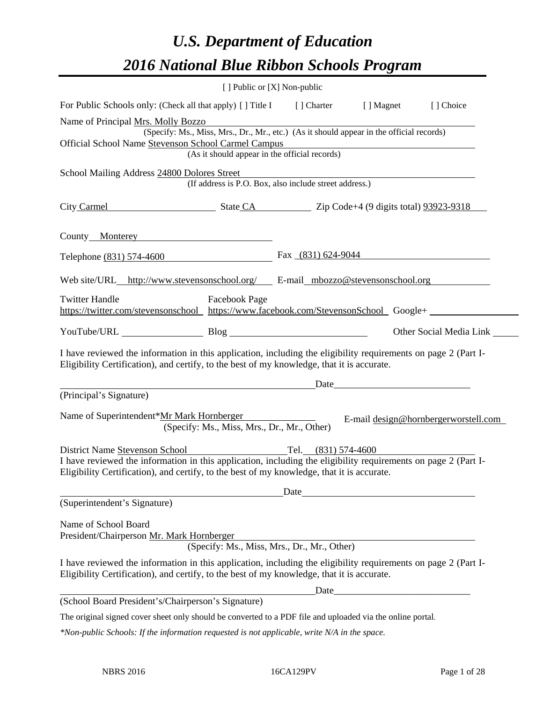# *U.S. Department of Education 2016 National Blue Ribbon Schools Program*

|                                                                                                                                                                                                              | [ ] Public or [X] Non-public                           |      |                                                                                                                        |                                      |
|--------------------------------------------------------------------------------------------------------------------------------------------------------------------------------------------------------------|--------------------------------------------------------|------|------------------------------------------------------------------------------------------------------------------------|--------------------------------------|
| For Public Schools only: (Check all that apply) [ ] Title I [ ] Charter [ ] Magnet [ ] Choice                                                                                                                |                                                        |      |                                                                                                                        |                                      |
| Name of Principal Mrs. Molly Bozzo                                                                                                                                                                           |                                                        |      |                                                                                                                        |                                      |
| (Specify: Ms., Miss, Mrs., Dr., Mr., etc.) (As it should appear in the official records)                                                                                                                     |                                                        |      |                                                                                                                        |                                      |
| Official School Name Stevenson School Carmel Campus                                                                                                                                                          |                                                        |      | <u> 1989 - Johann Stoff, deutscher Stoffen und der Stoffen und der Stoffen und der Stoffen und der Stoffen und der</u> |                                      |
|                                                                                                                                                                                                              | (As it should appear in the official records)          |      |                                                                                                                        |                                      |
| School Mailing Address 24800 Dolores Street                                                                                                                                                                  |                                                        |      |                                                                                                                        |                                      |
|                                                                                                                                                                                                              | (If address is P.O. Box, also include street address.) |      |                                                                                                                        |                                      |
| City Carmel State CA Zip Code+4 (9 digits total) 93923-9318                                                                                                                                                  |                                                        |      |                                                                                                                        |                                      |
| County Monterey Monterey                                                                                                                                                                                     |                                                        |      |                                                                                                                        |                                      |
| Telephone (831) 574-4600 Fax (831) 624-9044                                                                                                                                                                  |                                                        |      |                                                                                                                        |                                      |
| Web site/URL http://www.stevensonschool.org/ E-mail mbozzo@stevensonschool.org                                                                                                                               |                                                        |      |                                                                                                                        |                                      |
| <b>Twitter Handle</b>                                                                                                                                                                                        | Facebook Page                                          |      |                                                                                                                        |                                      |
| https://twitter.com/stevensonschool https://www.facebook.com/StevensonSchool Google+                                                                                                                         |                                                        |      |                                                                                                                        |                                      |
|                                                                                                                                                                                                              |                                                        |      |                                                                                                                        |                                      |
| YouTube/URL Blog Blog                                                                                                                                                                                        |                                                        |      |                                                                                                                        | Other Social Media Link              |
| I have reviewed the information in this application, including the eligibility requirements on page 2 (Part I-<br>Eligibility Certification), and certify, to the best of my knowledge, that it is accurate. |                                                        |      |                                                                                                                        |                                      |
|                                                                                                                                                                                                              |                                                        |      |                                                                                                                        |                                      |
| (Principal's Signature)                                                                                                                                                                                      |                                                        |      |                                                                                                                        |                                      |
| Name of Superintendent*Mr Mark Hornberger                                                                                                                                                                    | (Specify: Ms., Miss, Mrs., Dr., Mr., Other)            |      |                                                                                                                        | E-mail design@hornbergerworstell.com |
| District Name Stevenson School Tel. (831) 574-4600                                                                                                                                                           |                                                        |      |                                                                                                                        |                                      |
| I have reviewed the information in this application, including the eligibility requirements on page 2 (Part I-<br>Eligibility Certification), and certify, to the best of my knowledge, that it is accurate. |                                                        |      |                                                                                                                        |                                      |
| Date<br><u> 1980 - Andrea Station Barbara, politik eta provincia eta provincia eta provincia eta provincia eta provincia</u>                                                                                 |                                                        |      |                                                                                                                        |                                      |
| (Superintendent's Signature)                                                                                                                                                                                 |                                                        |      |                                                                                                                        |                                      |
| Name of School Board<br>President/Chairperson Mr. Mark Hornberger                                                                                                                                            |                                                        |      |                                                                                                                        |                                      |
|                                                                                                                                                                                                              | (Specify: Ms., Miss, Mrs., Dr., Mr., Other)            |      |                                                                                                                        |                                      |
| I have reviewed the information in this application, including the eligibility requirements on page 2 (Part I-<br>Eligibility Certification), and certify, to the best of my knowledge, that it is accurate. |                                                        |      |                                                                                                                        |                                      |
|                                                                                                                                                                                                              |                                                        | Date |                                                                                                                        |                                      |
| (School Board President's/Chairperson's Signature)                                                                                                                                                           |                                                        |      |                                                                                                                        |                                      |
| The original signed cover sheet only should be converted to a PDF file and uploaded via the online portal.                                                                                                   |                                                        |      |                                                                                                                        |                                      |
| *Non-public Schools: If the information requested is not applicable, write N/A in the space.                                                                                                                 |                                                        |      |                                                                                                                        |                                      |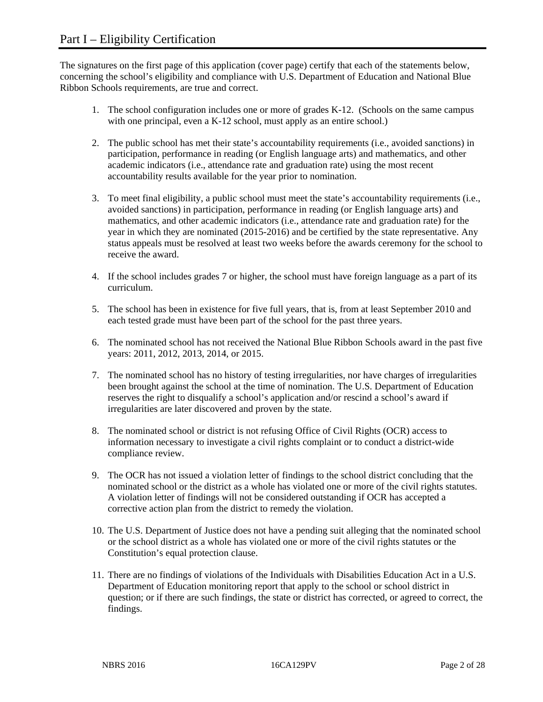The signatures on the first page of this application (cover page) certify that each of the statements below, concerning the school's eligibility and compliance with U.S. Department of Education and National Blue Ribbon Schools requirements, are true and correct.

- 1. The school configuration includes one or more of grades K-12. (Schools on the same campus with one principal, even a K-12 school, must apply as an entire school.)
- 2. The public school has met their state's accountability requirements (i.e., avoided sanctions) in participation, performance in reading (or English language arts) and mathematics, and other academic indicators (i.e., attendance rate and graduation rate) using the most recent accountability results available for the year prior to nomination.
- 3. To meet final eligibility, a public school must meet the state's accountability requirements (i.e., avoided sanctions) in participation, performance in reading (or English language arts) and mathematics, and other academic indicators (i.e., attendance rate and graduation rate) for the year in which they are nominated (2015-2016) and be certified by the state representative. Any status appeals must be resolved at least two weeks before the awards ceremony for the school to receive the award.
- 4. If the school includes grades 7 or higher, the school must have foreign language as a part of its curriculum.
- 5. The school has been in existence for five full years, that is, from at least September 2010 and each tested grade must have been part of the school for the past three years.
- 6. The nominated school has not received the National Blue Ribbon Schools award in the past five years: 2011, 2012, 2013, 2014, or 2015.
- 7. The nominated school has no history of testing irregularities, nor have charges of irregularities been brought against the school at the time of nomination. The U.S. Department of Education reserves the right to disqualify a school's application and/or rescind a school's award if irregularities are later discovered and proven by the state.
- 8. The nominated school or district is not refusing Office of Civil Rights (OCR) access to information necessary to investigate a civil rights complaint or to conduct a district-wide compliance review.
- 9. The OCR has not issued a violation letter of findings to the school district concluding that the nominated school or the district as a whole has violated one or more of the civil rights statutes. A violation letter of findings will not be considered outstanding if OCR has accepted a corrective action plan from the district to remedy the violation.
- 10. The U.S. Department of Justice does not have a pending suit alleging that the nominated school or the school district as a whole has violated one or more of the civil rights statutes or the Constitution's equal protection clause.
- 11. There are no findings of violations of the Individuals with Disabilities Education Act in a U.S. Department of Education monitoring report that apply to the school or school district in question; or if there are such findings, the state or district has corrected, or agreed to correct, the findings.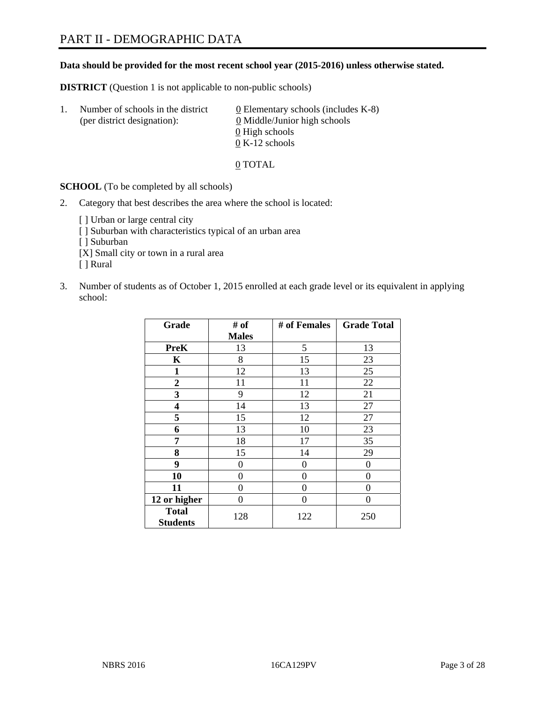#### **Data should be provided for the most recent school year (2015-2016) unless otherwise stated.**

**DISTRICT** (Question 1 is not applicable to non-public schools)

| -1. | Number of schools in the district<br>(per district designation): | 0 Elementary schools (includes $K-8$ )<br>0 Middle/Junior high schools<br>0 High schools<br>$0 K-12$ schools |
|-----|------------------------------------------------------------------|--------------------------------------------------------------------------------------------------------------|
|     |                                                                  |                                                                                                              |

0 TOTAL

**SCHOOL** (To be completed by all schools)

2. Category that best describes the area where the school is located:

[] Urban or large central city [ ] Suburban with characteristics typical of an urban area [ ] Suburban [X] Small city or town in a rural area [ ] Rural

3. Number of students as of October 1, 2015 enrolled at each grade level or its equivalent in applying school:

| Grade                           | # of         | # of Females | <b>Grade Total</b> |
|---------------------------------|--------------|--------------|--------------------|
|                                 | <b>Males</b> |              |                    |
| <b>PreK</b>                     | 13           | 5            | 13                 |
| $\mathbf K$                     | 8            | 15           | 23                 |
| 1                               | 12           | 13           | 25                 |
| $\overline{2}$                  | 11           | 11           | 22                 |
| 3                               | 9            | 12           | 21                 |
| $\overline{\mathbf{4}}$         | 14           | 13           | 27                 |
| 5                               | 15           | 12           | 27                 |
| 6                               | 13           | 10           | 23                 |
| 7                               | 18           | 17           | 35                 |
| 8                               | 15           | 14           | 29                 |
| 9                               | 0            | 0            | $\theta$           |
| 10                              | 0            | 0            | 0                  |
| 11                              | 0            | 0            | 0                  |
| 12 or higher                    | 0            | 0            | $\mathbf{\Omega}$  |
| <b>Total</b><br><b>Students</b> | 128          | 122          | 250                |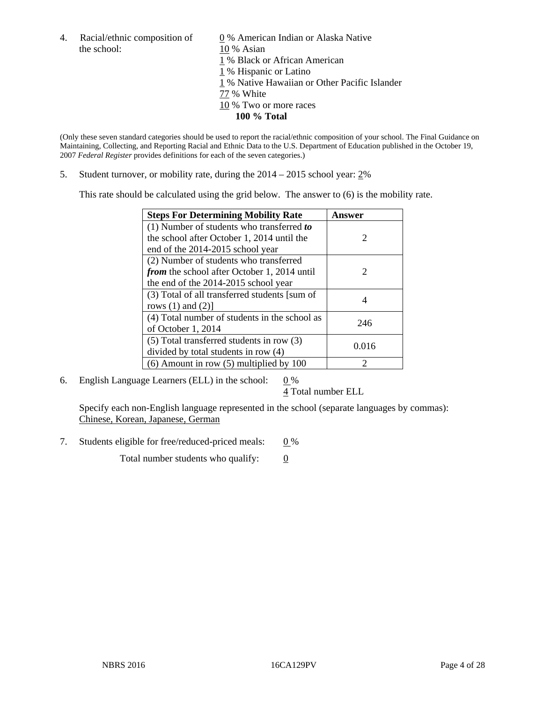the school: 10 % Asian

4. Racial/ethnic composition of  $\qquad 0\%$  American Indian or Alaska Native 1 % Black or African American 1 % Hispanic or Latino 1 % Native Hawaiian or Other Pacific Islander 77 % White 10 % Two or more races **100 % Total** 

(Only these seven standard categories should be used to report the racial/ethnic composition of your school. The Final Guidance on Maintaining, Collecting, and Reporting Racial and Ethnic Data to the U.S. Department of Education published in the October 19, 2007 *Federal Register* provides definitions for each of the seven categories.)

5. Student turnover, or mobility rate, during the 2014 – 2015 school year: 2%

This rate should be calculated using the grid below. The answer to (6) is the mobility rate.

| <b>Steps For Determining Mobility Rate</b>         | Answer                      |
|----------------------------------------------------|-----------------------------|
| (1) Number of students who transferred to          |                             |
| the school after October 1, 2014 until the         | $\mathcal{D}_{\cdot}$       |
| end of the 2014-2015 school year                   |                             |
| (2) Number of students who transferred             |                             |
| <i>from</i> the school after October 1, 2014 until | $\mathcal{D}_{\mathcal{L}}$ |
| the end of the 2014-2015 school year               |                             |
| (3) Total of all transferred students [sum of      |                             |
| rows $(1)$ and $(2)$ ]                             |                             |
| (4) Total number of students in the school as      | 246                         |
| of October 1, 2014                                 |                             |
| (5) Total transferred students in row (3)          | 0.016                       |
| divided by total students in row (4)               |                             |
| $(6)$ Amount in row $(5)$ multiplied by 100        | っ                           |

6. English Language Learners (ELL) in the school:  $0\%$ 

4 Total number ELL

 Specify each non-English language represented in the school (separate languages by commas): Chinese, Korean, Japanese, German

7. Students eligible for free/reduced-priced meals: 0 %

Total number students who qualify:  $\qquad 0$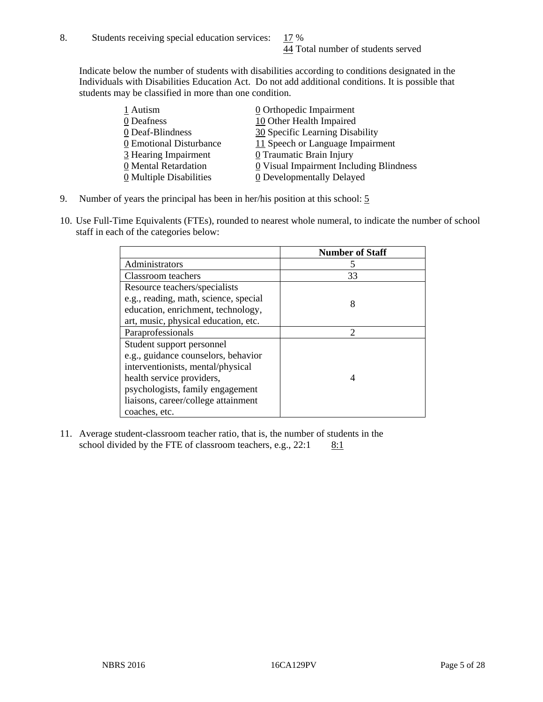Indicate below the number of students with disabilities according to conditions designated in the Individuals with Disabilities Education Act. Do not add additional conditions. It is possible that students may be classified in more than one condition.

| 1 Autism                              | $\underline{0}$ Orthopedic Impairment   |
|---------------------------------------|-----------------------------------------|
| 0 Deafness                            | 10 Other Health Impaired                |
| 0 Deaf-Blindness                      | 30 Specific Learning Disability         |
| 0 Emotional Disturbance               | 11 Speech or Language Impairment        |
| 3 Hearing Impairment                  | $\underline{0}$ Traumatic Brain Injury  |
| 0 Mental Retardation                  | 0 Visual Impairment Including Blindness |
| $\underline{0}$ Multiple Disabilities | <b>0</b> Developmentally Delayed        |

- 9. Number of years the principal has been in her/his position at this school: 5
- 10. Use Full-Time Equivalents (FTEs), rounded to nearest whole numeral, to indicate the number of school staff in each of the categories below:

|                                       | <b>Number of Staff</b> |
|---------------------------------------|------------------------|
| Administrators                        |                        |
| Classroom teachers                    | 33                     |
| Resource teachers/specialists         |                        |
| e.g., reading, math, science, special | 8                      |
| education, enrichment, technology,    |                        |
| art, music, physical education, etc.  |                        |
| Paraprofessionals                     | $\mathfrak{D}$         |
| Student support personnel             |                        |
| e.g., guidance counselors, behavior   |                        |
| interventionists, mental/physical     |                        |
| health service providers,             | 4                      |
| psychologists, family engagement      |                        |
| liaisons, career/college attainment   |                        |
| coaches, etc.                         |                        |

11. Average student-classroom teacher ratio, that is, the number of students in the school divided by the FTE of classroom teachers, e.g.,  $22:1$  8:1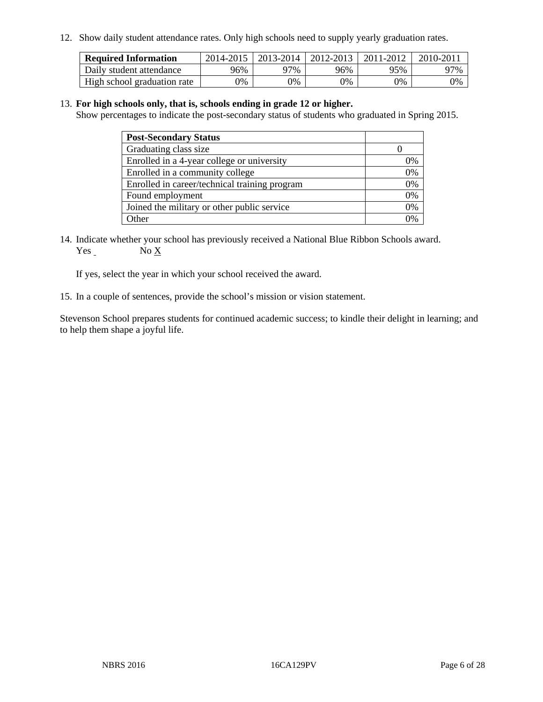12. Show daily student attendance rates. Only high schools need to supply yearly graduation rates.

| <b>Required Information</b> | 2014-2015 | $2013 - 2014$ | 2012-2013 | 2011-2012 | $2010 - 2011$ |
|-----------------------------|-----------|---------------|-----------|-----------|---------------|
| Daily student attendance    | 96%       | 97%           | 96%       | 95%       | 97%           |
| High school graduation rate | 0%        | 9%            | 0%        | 9%        | 0%            |

#### 13. **For high schools only, that is, schools ending in grade 12 or higher.**

Show percentages to indicate the post-secondary status of students who graduated in Spring 2015.

| <b>Post-Secondary Status</b>                  |    |
|-----------------------------------------------|----|
| Graduating class size                         |    |
| Enrolled in a 4-year college or university    | 0% |
| Enrolled in a community college               | 0% |
| Enrolled in career/technical training program | 0% |
| Found employment                              | 0% |
| Joined the military or other public service   | 0% |
| Other                                         |    |

14. Indicate whether your school has previously received a National Blue Ribbon Schools award. Yes No X

If yes, select the year in which your school received the award.

15. In a couple of sentences, provide the school's mission or vision statement.

Stevenson School prepares students for continued academic success; to kindle their delight in learning; and to help them shape a joyful life.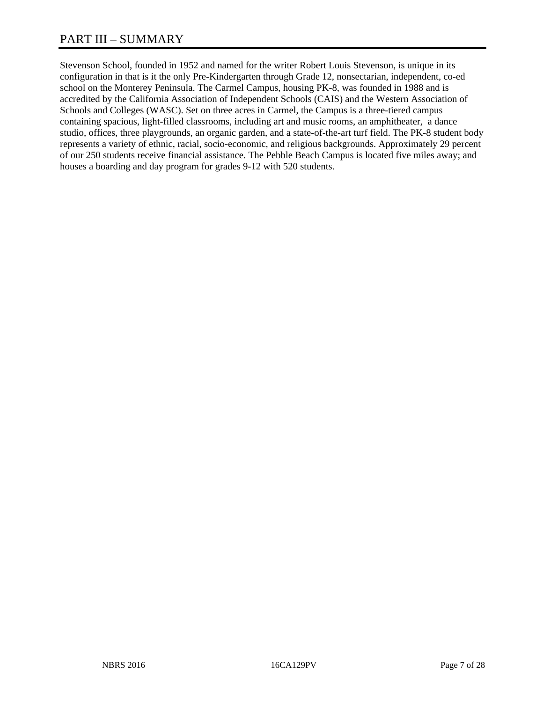# PART III – SUMMARY

Stevenson School, founded in 1952 and named for the writer Robert Louis Stevenson, is unique in its configuration in that is it the only Pre-Kindergarten through Grade 12, nonsectarian, independent, co-ed school on the Monterey Peninsula. The Carmel Campus, housing PK-8, was founded in 1988 and is accredited by the California Association of Independent Schools (CAIS) and the Western Association of Schools and Colleges (WASC). Set on three acres in Carmel, the Campus is a three-tiered campus containing spacious, light-filled classrooms, including art and music rooms, an amphitheater, a dance studio, offices, three playgrounds, an organic garden, and a state-of-the-art turf field. The PK-8 student body represents a variety of ethnic, racial, socio-economic, and religious backgrounds. Approximately 29 percent of our 250 students receive financial assistance. The Pebble Beach Campus is located five miles away; and houses a boarding and day program for grades 9-12 with 520 students.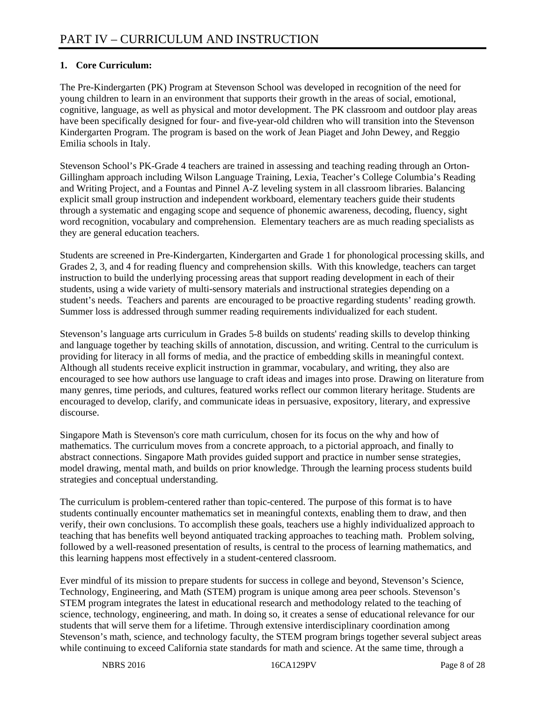# **1. Core Curriculum:**

The Pre-Kindergarten (PK) Program at Stevenson School was developed in recognition of the need for young children to learn in an environment that supports their growth in the areas of social, emotional, cognitive, language, as well as physical and motor development. The PK classroom and outdoor play areas have been specifically designed for four- and five-year-old children who will transition into the Stevenson Kindergarten Program. The program is based on the work of Jean Piaget and John Dewey, and Reggio Emilia schools in Italy.

Stevenson School's PK-Grade 4 teachers are trained in assessing and teaching reading through an Orton-Gillingham approach including Wilson Language Training, Lexia, Teacher's College Columbia's Reading and Writing Project, and a Fountas and Pinnel A-Z leveling system in all classroom libraries. Balancing explicit small group instruction and independent workboard, elementary teachers guide their students through a systematic and engaging scope and sequence of phonemic awareness, decoding, fluency, sight word recognition, vocabulary and comprehension. Elementary teachers are as much reading specialists as they are general education teachers.

Students are screened in Pre-Kindergarten, Kindergarten and Grade 1 for phonological processing skills, and Grades 2, 3, and 4 for reading fluency and comprehension skills. With this knowledge, teachers can target instruction to build the underlying processing areas that support reading development in each of their students, using a wide variety of multi-sensory materials and instructional strategies depending on a student's needs. Teachers and parents are encouraged to be proactive regarding students' reading growth. Summer loss is addressed through summer reading requirements individualized for each student.

Stevenson's language arts curriculum in Grades 5-8 builds on students' reading skills to develop thinking and language together by teaching skills of annotation, discussion, and writing. Central to the curriculum is providing for literacy in all forms of media, and the practice of embedding skills in meaningful context. Although all students receive explicit instruction in grammar, vocabulary, and writing, they also are encouraged to see how authors use language to craft ideas and images into prose. Drawing on literature from many genres, time periods, and cultures, featured works reflect our common literary heritage. Students are encouraged to develop, clarify, and communicate ideas in persuasive, expository, literary, and expressive discourse.

Singapore Math is Stevenson's core math curriculum, chosen for its focus on the why and how of mathematics. The curriculum moves from a concrete approach, to a pictorial approach, and finally to abstract connections. Singapore Math provides guided support and practice in number sense strategies, model drawing, mental math, and builds on prior knowledge. Through the learning process students build strategies and conceptual understanding.

The curriculum is problem-centered rather than topic-centered. The purpose of this format is to have students continually encounter mathematics set in meaningful contexts, enabling them to draw, and then verify, their own conclusions. To accomplish these goals, teachers use a highly individualized approach to teaching that has benefits well beyond antiquated tracking approaches to teaching math. Problem solving, followed by a well-reasoned presentation of results, is central to the process of learning mathematics, and this learning happens most effectively in a student-centered classroom.

Ever mindful of its mission to prepare students for success in college and beyond, Stevenson's Science, Technology, Engineering, and Math (STEM) program is unique among area peer schools. Stevenson's STEM program integrates the latest in educational research and methodology related to the teaching of science, technology, engineering, and math. In doing so, it creates a sense of educational relevance for our students that will serve them for a lifetime. Through extensive interdisciplinary coordination among Stevenson's math, science, and technology faculty, the STEM program brings together several subject areas while continuing to exceed California state standards for math and science. At the same time, through a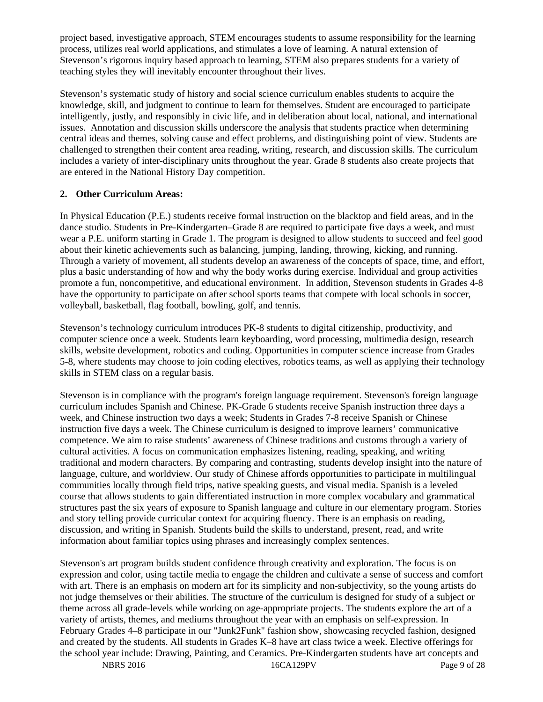project based, investigative approach, STEM encourages students to assume responsibility for the learning process, utilizes real world applications, and stimulates a love of learning. A natural extension of Stevenson's rigorous inquiry based approach to learning, STEM also prepares students for a variety of teaching styles they will inevitably encounter throughout their lives.

Stevenson's systematic study of history and social science curriculum enables students to acquire the knowledge, skill, and judgment to continue to learn for themselves. Student are encouraged to participate intelligently, justly, and responsibly in civic life, and in deliberation about local, national, and international issues. Annotation and discussion skills underscore the analysis that students practice when determining central ideas and themes, solving cause and effect problems, and distinguishing point of view. Students are challenged to strengthen their content area reading, writing, research, and discussion skills. The curriculum includes a variety of inter-disciplinary units throughout the year. Grade 8 students also create projects that are entered in the National History Day competition.

#### **2. Other Curriculum Areas:**

In Physical Education (P.E.) students receive formal instruction on the blacktop and field areas, and in the dance studio. Students in Pre-Kindergarten–Grade 8 are required to participate five days a week, and must wear a P.E. uniform starting in Grade 1. The program is designed to allow students to succeed and feel good about their kinetic achievements such as balancing, jumping, landing, throwing, kicking, and running. Through a variety of movement, all students develop an awareness of the concepts of space, time, and effort, plus a basic understanding of how and why the body works during exercise. Individual and group activities promote a fun, noncompetitive, and educational environment. In addition, Stevenson students in Grades 4-8 have the opportunity to participate on after school sports teams that compete with local schools in soccer, volleyball, basketball, flag football, bowling, golf, and tennis.

Stevenson's technology curriculum introduces PK-8 students to digital citizenship, productivity, and computer science once a week. Students learn keyboarding, word processing, multimedia design, research skills, website development, robotics and coding. Opportunities in computer science increase from Grades 5-8, where students may choose to join coding electives, robotics teams, as well as applying their technology skills in STEM class on a regular basis.

Stevenson is in compliance with the program's foreign language requirement. Stevenson's foreign language curriculum includes Spanish and Chinese. PK-Grade 6 students receive Spanish instruction three days a week, and Chinese instruction two days a week; Students in Grades 7-8 receive Spanish or Chinese instruction five days a week. The Chinese curriculum is designed to improve learners' communicative competence. We aim to raise students' awareness of Chinese traditions and customs through a variety of cultural activities. A focus on communication emphasizes listening, reading, speaking, and writing traditional and modern characters. By comparing and contrasting, students develop insight into the nature of language, culture, and worldview. Our study of Chinese affords opportunities to participate in multilingual communities locally through field trips, native speaking guests, and visual media. Spanish is a leveled course that allows students to gain differentiated instruction in more complex vocabulary and grammatical structures past the six years of exposure to Spanish language and culture in our elementary program. Stories and story telling provide curricular context for acquiring fluency. There is an emphasis on reading, discussion, and writing in Spanish. Students build the skills to understand, present, read, and write information about familiar topics using phrases and increasingly complex sentences.

Stevenson's art program builds student confidence through creativity and exploration. The focus is on expression and color, using tactile media to engage the children and cultivate a sense of success and comfort with art. There is an emphasis on modern art for its simplicity and non-subjectivity, so the young artists do not judge themselves or their abilities. The structure of the curriculum is designed for study of a subject or theme across all grade-levels while working on age-appropriate projects. The students explore the art of a variety of artists, themes, and mediums throughout the year with an emphasis on self-expression. In February Grades 4–8 participate in our "Junk2Funk" fashion show, showcasing recycled fashion, designed and created by the students. All students in Grades K–8 have art class twice a week. Elective offerings for the school year include: Drawing, Painting, and Ceramics. Pre-Kindergarten students have art concepts and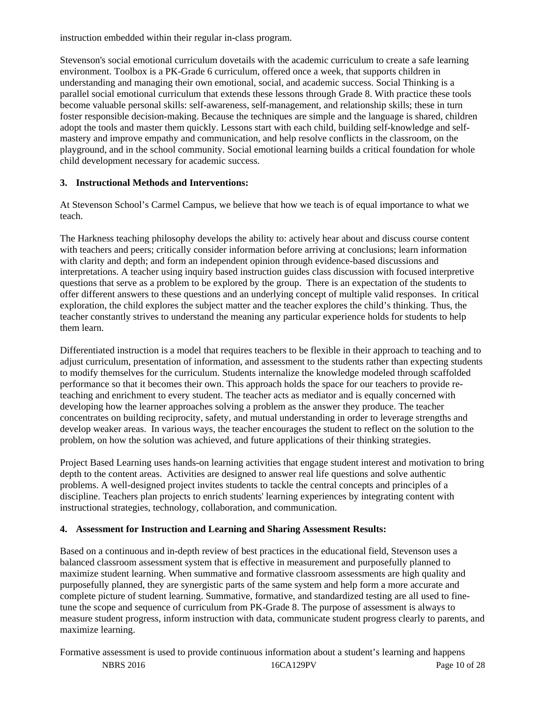instruction embedded within their regular in-class program.

Stevenson's social emotional curriculum dovetails with the academic curriculum to create a safe learning environment. Toolbox is a PK-Grade 6 curriculum, offered once a week, that supports children in understanding and managing their own emotional, social, and academic success. Social Thinking is a parallel social emotional curriculum that extends these lessons through Grade 8. With practice these tools become valuable personal skills: self-awareness, self-management, and relationship skills; these in turn foster responsible decision-making. Because the techniques are simple and the language is shared, children adopt the tools and master them quickly. Lessons start with each child, building self-knowledge and selfmastery and improve empathy and communication, and help resolve conflicts in the classroom, on the playground, and in the school community. Social emotional learning builds a critical foundation for whole child development necessary for academic success.

## **3. Instructional Methods and Interventions:**

At Stevenson School's Carmel Campus, we believe that how we teach is of equal importance to what we teach.

The Harkness teaching philosophy develops the ability to: actively hear about and discuss course content with teachers and peers; critically consider information before arriving at conclusions; learn information with clarity and depth; and form an independent opinion through evidence-based discussions and interpretations. A teacher using inquiry based instruction guides class discussion with focused interpretive questions that serve as a problem to be explored by the group. There is an expectation of the students to offer different answers to these questions and an underlying concept of multiple valid responses. In critical exploration, the child explores the subject matter and the teacher explores the child's thinking. Thus, the teacher constantly strives to understand the meaning any particular experience holds for students to help them learn.

Differentiated instruction is a model that requires teachers to be flexible in their approach to teaching and to adjust curriculum, presentation of information, and assessment to the students rather than expecting students to modify themselves for the curriculum. Students internalize the knowledge modeled through scaffolded performance so that it becomes their own. This approach holds the space for our teachers to provide reteaching and enrichment to every student. The teacher acts as mediator and is equally concerned with developing how the learner approaches solving a problem as the answer they produce. The teacher concentrates on building reciprocity, safety, and mutual understanding in order to leverage strengths and develop weaker areas. In various ways, the teacher encourages the student to reflect on the solution to the problem, on how the solution was achieved, and future applications of their thinking strategies.

Project Based Learning uses hands-on learning activities that engage student interest and motivation to bring depth to the content areas. Activities are designed to answer real life questions and solve authentic problems. A well-designed project invites students to tackle the central concepts and principles of a discipline. Teachers plan projects to enrich students' learning experiences by integrating content with instructional strategies, technology, collaboration, and communication.

## **4. Assessment for Instruction and Learning and Sharing Assessment Results:**

Based on a continuous and in-depth review of best practices in the educational field, Stevenson uses a balanced classroom assessment system that is effective in measurement and purposefully planned to maximize student learning. When summative and formative classroom assessments are high quality and purposefully planned, they are synergistic parts of the same system and help form a more accurate and complete picture of student learning. Summative, formative, and standardized testing are all used to finetune the scope and sequence of curriculum from PK-Grade 8. The purpose of assessment is always to measure student progress, inform instruction with data, communicate student progress clearly to parents, and maximize learning.

NBRS 2016 16CA129PV Page 10 of 28 Formative assessment is used to provide continuous information about a student's learning and happens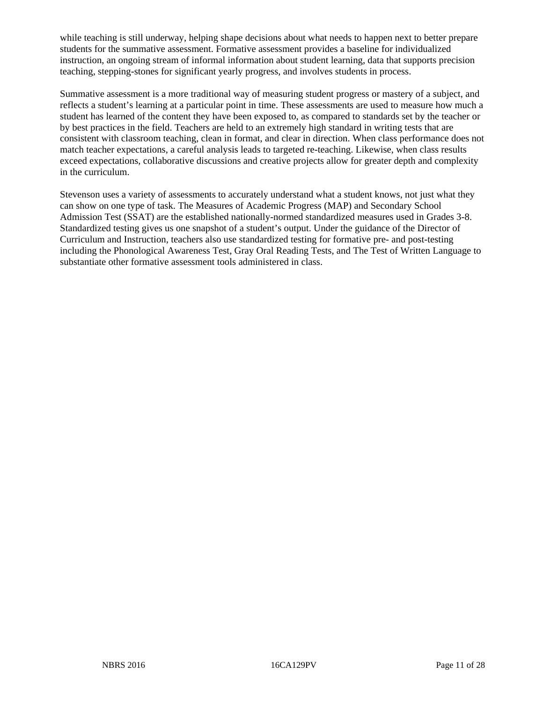while teaching is still underway, helping shape decisions about what needs to happen next to better prepare students for the summative assessment. Formative assessment provides a baseline for individualized instruction, an ongoing stream of informal information about student learning, data that supports precision teaching, stepping-stones for significant yearly progress, and involves students in process.

Summative assessment is a more traditional way of measuring student progress or mastery of a subject, and reflects a student's learning at a particular point in time. These assessments are used to measure how much a student has learned of the content they have been exposed to, as compared to standards set by the teacher or by best practices in the field. Teachers are held to an extremely high standard in writing tests that are consistent with classroom teaching, clean in format, and clear in direction. When class performance does not match teacher expectations, a careful analysis leads to targeted re-teaching. Likewise, when class results exceed expectations, collaborative discussions and creative projects allow for greater depth and complexity in the curriculum.

Stevenson uses a variety of assessments to accurately understand what a student knows, not just what they can show on one type of task. The Measures of Academic Progress (MAP) and Secondary School Admission Test (SSAT) are the established nationally-normed standardized measures used in Grades 3-8. Standardized testing gives us one snapshot of a student's output. Under the guidance of the Director of Curriculum and Instruction, teachers also use standardized testing for formative pre- and post-testing including the Phonological Awareness Test, Gray Oral Reading Tests, and The Test of Written Language to substantiate other formative assessment tools administered in class.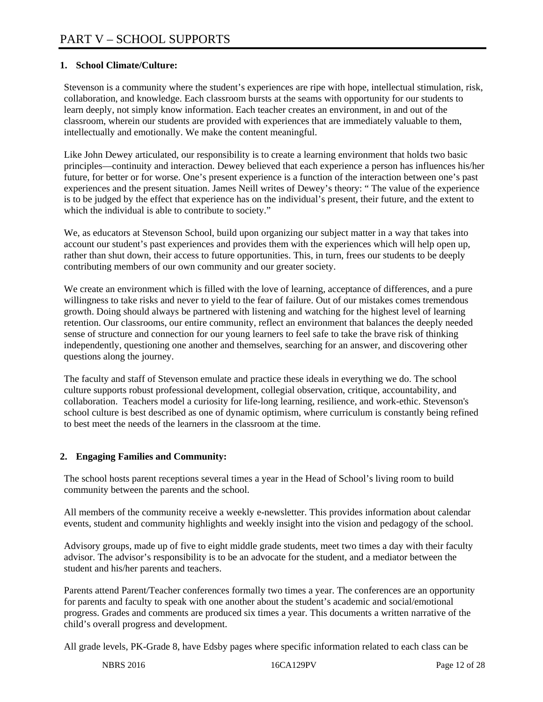### **1. School Climate/Culture:**

Stevenson is a community where the student's experiences are ripe with hope, intellectual stimulation, risk, collaboration, and knowledge. Each classroom bursts at the seams with opportunity for our students to learn deeply, not simply know information. Each teacher creates an environment, in and out of the classroom, wherein our students are provided with experiences that are immediately valuable to them, intellectually and emotionally. We make the content meaningful.

Like John Dewey articulated, our responsibility is to create a learning environment that holds two basic principles—continuity and interaction. Dewey believed that each experience a person has influences his/her future, for better or for worse. One's present experience is a function of the interaction between one's past experiences and the present situation. James Neill writes of Dewey's theory: " The value of the experience is to be judged by the effect that experience has on the individual's present, their future, and the extent to which the individual is able to contribute to society."

We, as educators at Stevenson School, build upon organizing our subject matter in a way that takes into account our student's past experiences and provides them with the experiences which will help open up, rather than shut down, their access to future opportunities. This, in turn, frees our students to be deeply contributing members of our own community and our greater society.

We create an environment which is filled with the love of learning, acceptance of differences, and a pure willingness to take risks and never to yield to the fear of failure. Out of our mistakes comes tremendous growth. Doing should always be partnered with listening and watching for the highest level of learning retention. Our classrooms, our entire community, reflect an environment that balances the deeply needed sense of structure and connection for our young learners to feel safe to take the brave risk of thinking independently, questioning one another and themselves, searching for an answer, and discovering other questions along the journey.

The faculty and staff of Stevenson emulate and practice these ideals in everything we do. The school culture supports robust professional development, collegial observation, critique, accountability, and collaboration. Teachers model a curiosity for life-long learning, resilience, and work-ethic. Stevenson's school culture is best described as one of dynamic optimism, where curriculum is constantly being refined to best meet the needs of the learners in the classroom at the time.

#### **2. Engaging Families and Community:**

The school hosts parent receptions several times a year in the Head of School's living room to build community between the parents and the school.

All members of the community receive a weekly e-newsletter. This provides information about calendar events, student and community highlights and weekly insight into the vision and pedagogy of the school.

Advisory groups, made up of five to eight middle grade students, meet two times a day with their faculty advisor. The advisor's responsibility is to be an advocate for the student, and a mediator between the student and his/her parents and teachers.

Parents attend Parent/Teacher conferences formally two times a year. The conferences are an opportunity for parents and faculty to speak with one another about the student's academic and social/emotional progress. Grades and comments are produced six times a year. This documents a written narrative of the child's overall progress and development.

All grade levels, PK-Grade 8, have Edsby pages where specific information related to each class can be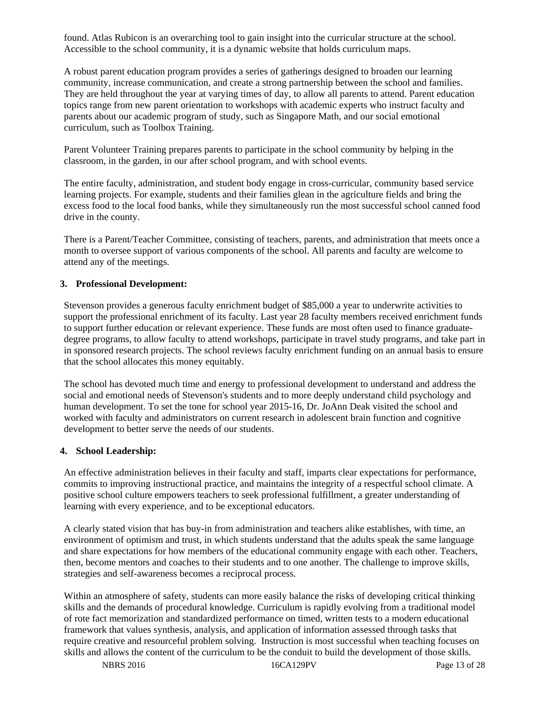found. Atlas Rubicon is an overarching tool to gain insight into the curricular structure at the school. Accessible to the school community, it is a dynamic website that holds curriculum maps.

A robust parent education program provides a series of gatherings designed to broaden our learning community, increase communication, and create a strong partnership between the school and families. They are held throughout the year at varying times of day, to allow all parents to attend. Parent education topics range from new parent orientation to workshops with academic experts who instruct faculty and parents about our academic program of study, such as Singapore Math, and our social emotional curriculum, such as Toolbox Training.

Parent Volunteer Training prepares parents to participate in the school community by helping in the classroom, in the garden, in our after school program, and with school events.

The entire faculty, administration, and student body engage in cross-curricular, community based service learning projects. For example, students and their families glean in the agriculture fields and bring the excess food to the local food banks, while they simultaneously run the most successful school canned food drive in the county.

There is a Parent/Teacher Committee, consisting of teachers, parents, and administration that meets once a month to oversee support of various components of the school. All parents and faculty are welcome to attend any of the meetings.

#### **3. Professional Development:**

Stevenson provides a generous faculty enrichment budget of \$85,000 a year to underwrite activities to support the professional enrichment of its faculty. Last year 28 faculty members received enrichment funds to support further education or relevant experience. These funds are most often used to finance graduatedegree programs, to allow faculty to attend workshops, participate in travel study programs, and take part in in sponsored research projects. The school reviews faculty enrichment funding on an annual basis to ensure that the school allocates this money equitably.

The school has devoted much time and energy to professional development to understand and address the social and emotional needs of Stevenson's students and to more deeply understand child psychology and human development. To set the tone for school year 2015-16, Dr. JoAnn Deak visited the school and worked with faculty and administrators on current research in adolescent brain function and cognitive development to better serve the needs of our students.

#### **4. School Leadership:**

An effective administration believes in their faculty and staff, imparts clear expectations for performance, commits to improving instructional practice, and maintains the integrity of a respectful school climate. A positive school culture empowers teachers to seek professional fulfillment, a greater understanding of learning with every experience, and to be exceptional educators.

A clearly stated vision that has buy-in from administration and teachers alike establishes, with time, an environment of optimism and trust, in which students understand that the adults speak the same language and share expectations for how members of the educational community engage with each other. Teachers, then, become mentors and coaches to their students and to one another. The challenge to improve skills, strategies and self-awareness becomes a reciprocal process.

Within an atmosphere of safety, students can more easily balance the risks of developing critical thinking skills and the demands of procedural knowledge. Curriculum is rapidly evolving from a traditional model of rote fact memorization and standardized performance on timed, written tests to a modern educational framework that values synthesis, analysis, and application of information assessed through tasks that require creative and resourceful problem solving. Instruction is most successful when teaching focuses on skills and allows the content of the curriculum to be the conduit to build the development of those skills.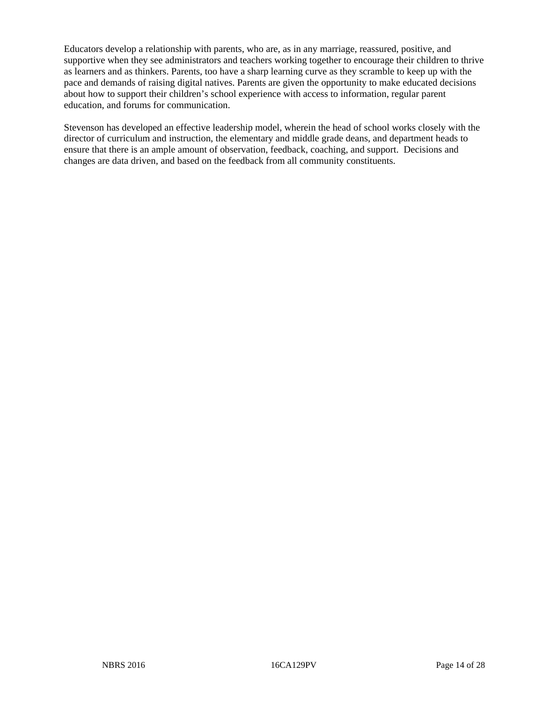Educators develop a relationship with parents, who are, as in any marriage, reassured, positive, and supportive when they see administrators and teachers working together to encourage their children to thrive as learners and as thinkers. Parents, too have a sharp learning curve as they scramble to keep up with the pace and demands of raising digital natives. Parents are given the opportunity to make educated decisions about how to support their children's school experience with access to information, regular parent education, and forums for communication.

Stevenson has developed an effective leadership model, wherein the head of school works closely with the director of curriculum and instruction, the elementary and middle grade deans, and department heads to ensure that there is an ample amount of observation, feedback, coaching, and support. Decisions and changes are data driven, and based on the feedback from all community constituents.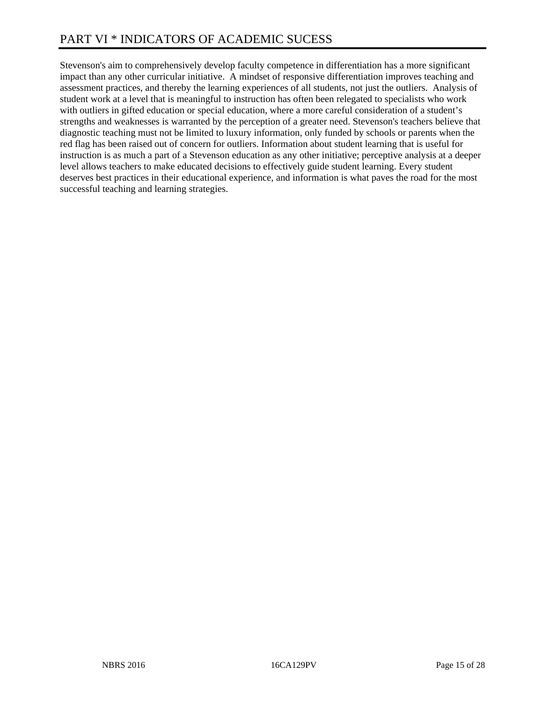Stevenson's aim to comprehensively develop faculty competence in differentiation has a more significant impact than any other curricular initiative. A mindset of responsive differentiation improves teaching and assessment practices, and thereby the learning experiences of all students, not just the outliers. Analysis of student work at a level that is meaningful to instruction has often been relegated to specialists who work with outliers in gifted education or special education, where a more careful consideration of a student's strengths and weaknesses is warranted by the perception of a greater need. Stevenson's teachers believe that diagnostic teaching must not be limited to luxury information, only funded by schools or parents when the red flag has been raised out of concern for outliers. Information about student learning that is useful for instruction is as much a part of a Stevenson education as any other initiative; perceptive analysis at a deeper level allows teachers to make educated decisions to effectively guide student learning. Every student deserves best practices in their educational experience, and information is what paves the road for the most successful teaching and learning strategies.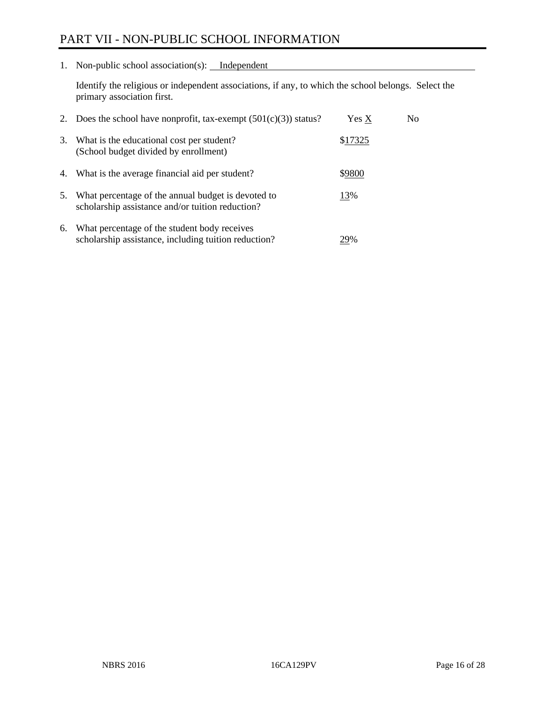# PART VII - NON-PUBLIC SCHOOL INFORMATION

1. Non-public school association(s): Independent

Identify the religious or independent associations, if any, to which the school belongs. Select the primary association first.

| 2. | Does the school have nonprofit, tax-exempt $(501(c)(3))$ status?                                       | <b>Yes X</b> | No. |
|----|--------------------------------------------------------------------------------------------------------|--------------|-----|
| 3. | What is the educational cost per student?<br>(School budget divided by enrollment)                     | \$17325      |     |
|    | 4. What is the average financial aid per student?                                                      | \$9800       |     |
| 5. | What percentage of the annual budget is devoted to<br>scholarship assistance and/or tuition reduction? | 13%          |     |
| 6. | What percentage of the student body receives<br>scholarship assistance, including tuition reduction?   | 29%          |     |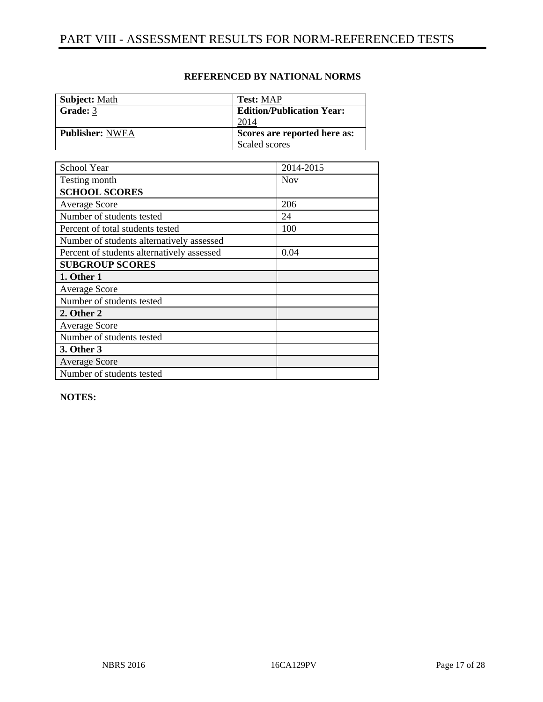| <b>Subject: Math</b>   | <b>Test: MAP</b>                 |
|------------------------|----------------------------------|
| Grade: 3               | <b>Edition/Publication Year:</b> |
|                        | 2014                             |
| <b>Publisher: NWEA</b> | Scores are reported here as:     |
|                        | Scaled scores                    |

| School Year                                | 2014-2015  |
|--------------------------------------------|------------|
| Testing month                              | <b>Nov</b> |
| <b>SCHOOL SCORES</b>                       |            |
| <b>Average Score</b>                       | 206        |
| Number of students tested                  | 24         |
| Percent of total students tested           | 100        |
| Number of students alternatively assessed  |            |
| Percent of students alternatively assessed | 0.04       |
| <b>SUBGROUP SCORES</b>                     |            |
| 1. Other 1                                 |            |
| <b>Average Score</b>                       |            |
| Number of students tested                  |            |
| 2. Other 2                                 |            |
| <b>Average Score</b>                       |            |
| Number of students tested                  |            |
| 3. Other 3                                 |            |
| <b>Average Score</b>                       |            |
| Number of students tested                  |            |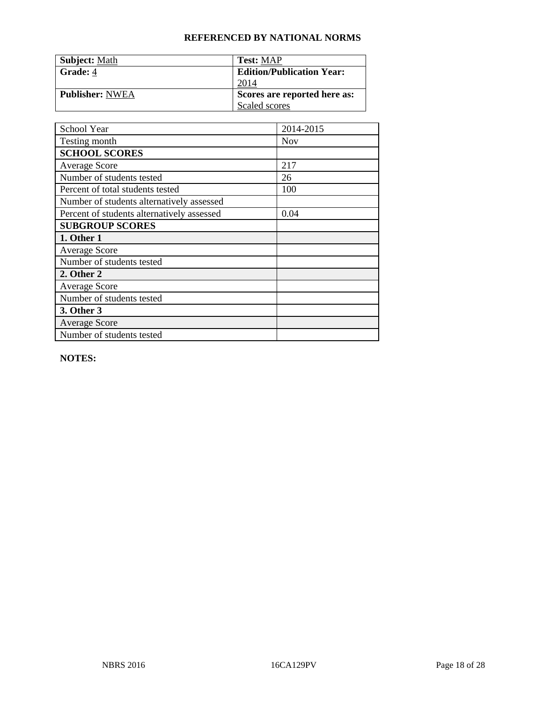| <b>Subject: Math</b>   | <b>Test: MAP</b>                 |
|------------------------|----------------------------------|
| Grade: 4               | <b>Edition/Publication Year:</b> |
|                        | 2014                             |
| <b>Publisher: NWEA</b> | Scores are reported here as:     |
|                        | Scaled scores                    |

| School Year                                | 2014-2015  |
|--------------------------------------------|------------|
| Testing month                              | <b>Nov</b> |
| <b>SCHOOL SCORES</b>                       |            |
| <b>Average Score</b>                       | 217        |
| Number of students tested                  | 26         |
| Percent of total students tested           | 100        |
| Number of students alternatively assessed  |            |
| Percent of students alternatively assessed | 0.04       |
| <b>SUBGROUP SCORES</b>                     |            |
| 1. Other 1                                 |            |
| <b>Average Score</b>                       |            |
| Number of students tested                  |            |
| 2. Other 2                                 |            |
| <b>Average Score</b>                       |            |
| Number of students tested                  |            |
| 3. Other 3                                 |            |
| <b>Average Score</b>                       |            |
| Number of students tested                  |            |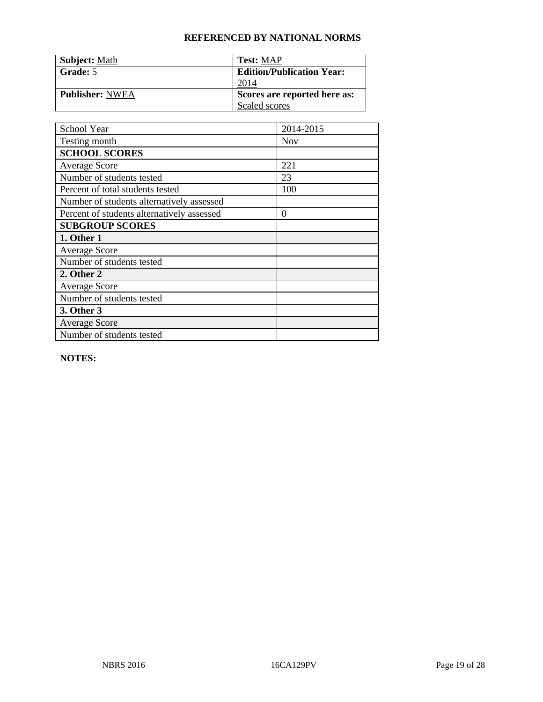| <b>Subject: Math</b>   | <b>Test: MAP</b>                 |
|------------------------|----------------------------------|
| Grade: 5               | <b>Edition/Publication Year:</b> |
|                        | 2014                             |
| <b>Publisher: NWEA</b> | Scores are reported here as:     |
|                        | Scaled scores                    |

| School Year                                | 2014-2015  |
|--------------------------------------------|------------|
| Testing month                              | <b>Nov</b> |
| <b>SCHOOL SCORES</b>                       |            |
| <b>Average Score</b>                       | 221        |
| Number of students tested                  | 23         |
| Percent of total students tested           | 100        |
| Number of students alternatively assessed  |            |
| Percent of students alternatively assessed | $\theta$   |
| <b>SUBGROUP SCORES</b>                     |            |
| 1. Other 1                                 |            |
| <b>Average Score</b>                       |            |
| Number of students tested                  |            |
| 2. Other 2                                 |            |
| <b>Average Score</b>                       |            |
| Number of students tested                  |            |
| 3. Other 3                                 |            |
| <b>Average Score</b>                       |            |
| Number of students tested                  |            |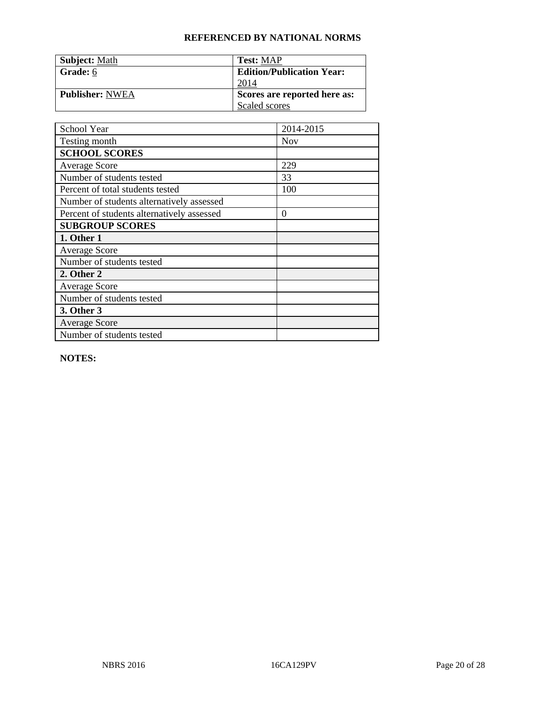| <b>Subject: Math</b>   | <b>Test: MAP</b>                 |
|------------------------|----------------------------------|
| Grade: 6               | <b>Edition/Publication Year:</b> |
|                        | 2014                             |
| <b>Publisher: NWEA</b> | Scores are reported here as:     |
|                        | Scaled scores                    |

| School Year                                | 2014-2015  |
|--------------------------------------------|------------|
| Testing month                              | <b>Nov</b> |
| <b>SCHOOL SCORES</b>                       |            |
| <b>Average Score</b>                       | 229        |
| Number of students tested                  | 33         |
| Percent of total students tested           | 100        |
| Number of students alternatively assessed  |            |
| Percent of students alternatively assessed | $\theta$   |
| <b>SUBGROUP SCORES</b>                     |            |
| 1. Other 1                                 |            |
| <b>Average Score</b>                       |            |
| Number of students tested                  |            |
| 2. Other 2                                 |            |
| <b>Average Score</b>                       |            |
| Number of students tested                  |            |
| 3. Other 3                                 |            |
| <b>Average Score</b>                       |            |
| Number of students tested                  |            |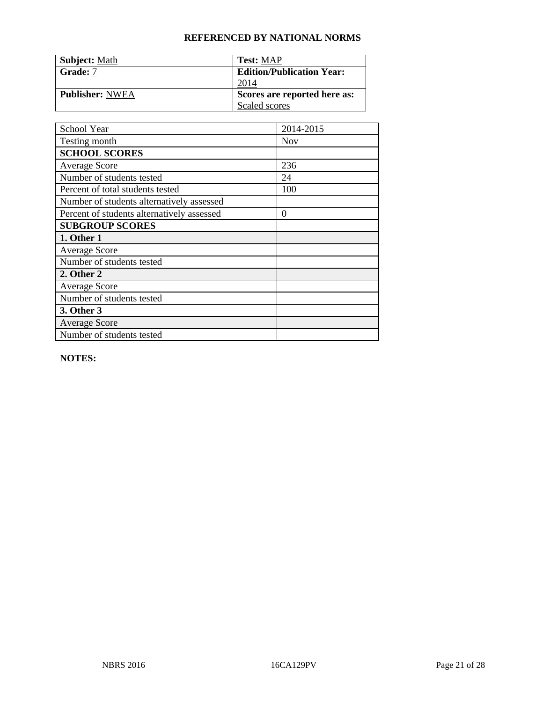| <b>Subject: Math</b>   | <b>Test: MAP</b>                 |
|------------------------|----------------------------------|
| Grade: 7               | <b>Edition/Publication Year:</b> |
|                        | 2014                             |
| <b>Publisher: NWEA</b> | Scores are reported here as:     |
|                        | Scaled scores                    |

| School Year                                | 2014-2015  |
|--------------------------------------------|------------|
| Testing month                              | <b>Nov</b> |
| <b>SCHOOL SCORES</b>                       |            |
| <b>Average Score</b>                       | 236        |
| Number of students tested                  | 24         |
| Percent of total students tested           | 100        |
| Number of students alternatively assessed  |            |
| Percent of students alternatively assessed | $\theta$   |
| <b>SUBGROUP SCORES</b>                     |            |
| 1. Other 1                                 |            |
| <b>Average Score</b>                       |            |
| Number of students tested                  |            |
| 2. Other 2                                 |            |
| <b>Average Score</b>                       |            |
| Number of students tested                  |            |
| 3. Other 3                                 |            |
| <b>Average Score</b>                       |            |
| Number of students tested                  |            |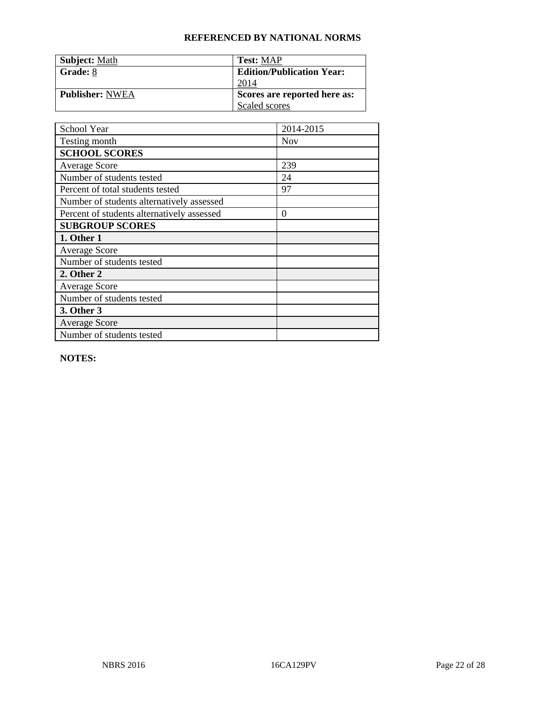| <b>Subject: Math</b>   | <b>Test: MAP</b>                 |
|------------------------|----------------------------------|
| Grade: 8               | <b>Edition/Publication Year:</b> |
|                        | 2014                             |
| <b>Publisher: NWEA</b> | Scores are reported here as:     |
|                        | Scaled scores                    |

| School Year                                | 2014-2015  |
|--------------------------------------------|------------|
| Testing month                              | <b>Nov</b> |
| <b>SCHOOL SCORES</b>                       |            |
| <b>Average Score</b>                       | 239        |
| Number of students tested                  | 24         |
| Percent of total students tested           | 97         |
| Number of students alternatively assessed  |            |
| Percent of students alternatively assessed | 0          |
| <b>SUBGROUP SCORES</b>                     |            |
| 1. Other 1                                 |            |
| <b>Average Score</b>                       |            |
| Number of students tested                  |            |
| 2. Other 2                                 |            |
| <b>Average Score</b>                       |            |
| Number of students tested                  |            |
| 3. Other 3                                 |            |
| <b>Average Score</b>                       |            |
| Number of students tested                  |            |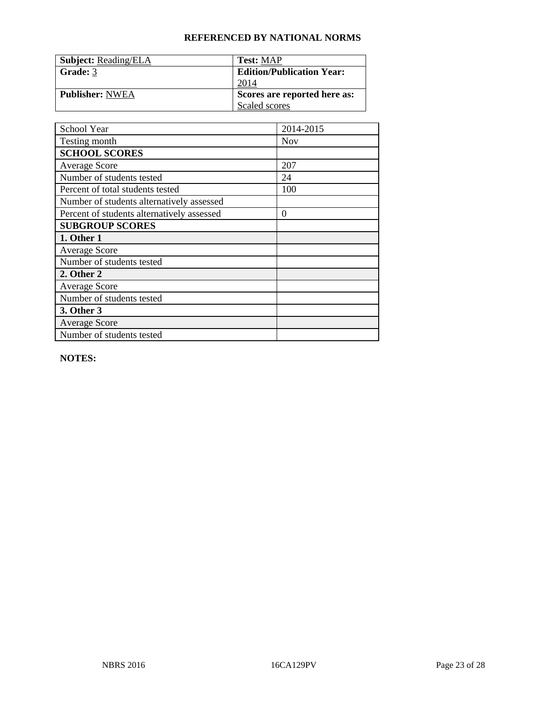| <b>Subject: Reading/ELA</b> | <b>Test: MAP</b>                 |
|-----------------------------|----------------------------------|
| Grade: 3                    | <b>Edition/Publication Year:</b> |
|                             | 2014                             |
| <b>Publisher: NWEA</b>      | Scores are reported here as:     |
|                             | Scaled scores                    |

| School Year                                | 2014-2015  |
|--------------------------------------------|------------|
| Testing month                              | <b>Nov</b> |
| <b>SCHOOL SCORES</b>                       |            |
| <b>Average Score</b>                       | 207        |
| Number of students tested                  | 24         |
| Percent of total students tested           | 100        |
| Number of students alternatively assessed  |            |
| Percent of students alternatively assessed | $\theta$   |
| <b>SUBGROUP SCORES</b>                     |            |
| 1. Other 1                                 |            |
| <b>Average Score</b>                       |            |
| Number of students tested                  |            |
| 2. Other 2                                 |            |
| <b>Average Score</b>                       |            |
| Number of students tested                  |            |
| 3. Other 3                                 |            |
| <b>Average Score</b>                       |            |
| Number of students tested                  |            |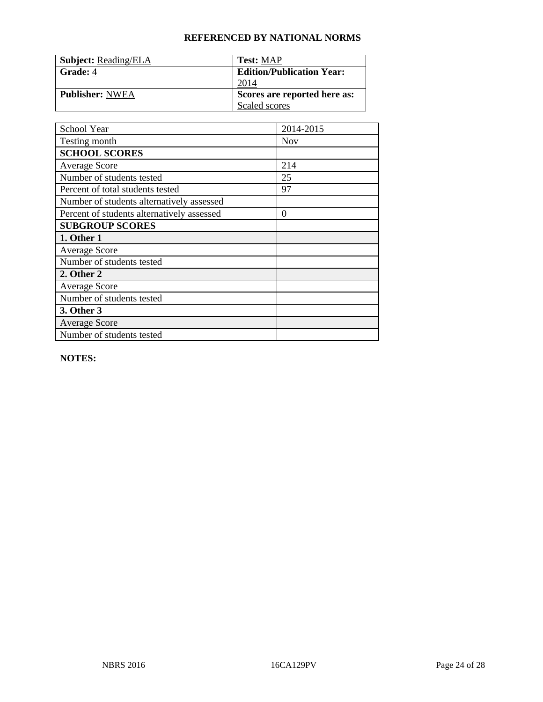| <b>Subject: Reading/ELA</b> | <b>Test: MAP</b>                 |
|-----------------------------|----------------------------------|
| Grade: 4                    | <b>Edition/Publication Year:</b> |
|                             | 2014                             |
| <b>Publisher: NWEA</b>      | Scores are reported here as:     |
|                             | Scaled scores                    |

| School Year                                | 2014-2015  |
|--------------------------------------------|------------|
| Testing month                              | <b>Nov</b> |
| <b>SCHOOL SCORES</b>                       |            |
| <b>Average Score</b>                       | 214        |
| Number of students tested                  | 25         |
| Percent of total students tested           | 97         |
| Number of students alternatively assessed  |            |
| Percent of students alternatively assessed | $\theta$   |
| <b>SUBGROUP SCORES</b>                     |            |
| 1. Other 1                                 |            |
| <b>Average Score</b>                       |            |
| Number of students tested                  |            |
| 2. Other 2                                 |            |
| <b>Average Score</b>                       |            |
| Number of students tested                  |            |
| 3. Other 3                                 |            |
| <b>Average Score</b>                       |            |
| Number of students tested                  |            |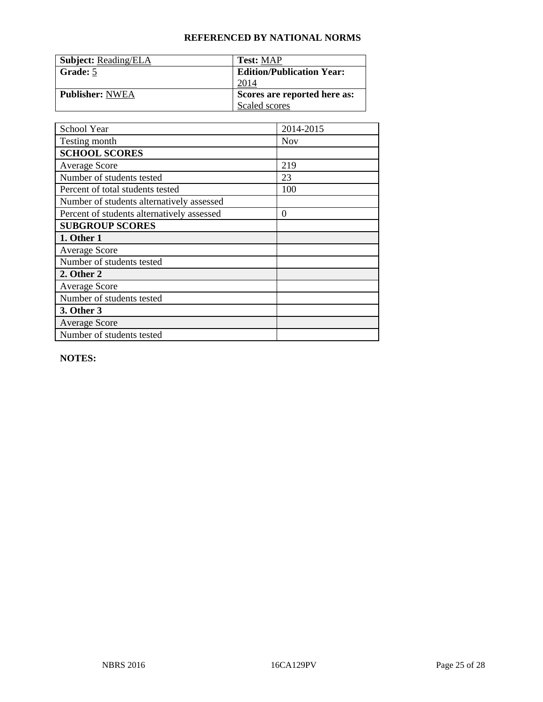| <b>Subject: Reading/ELA</b> | <b>Test: MAP</b>                 |
|-----------------------------|----------------------------------|
| Grade: 5                    | <b>Edition/Publication Year:</b> |
|                             | 2014                             |
| <b>Publisher: NWEA</b>      | Scores are reported here as:     |
|                             | Scaled scores                    |

| School Year                                | 2014-2015  |
|--------------------------------------------|------------|
| Testing month                              | <b>Nov</b> |
| <b>SCHOOL SCORES</b>                       |            |
| <b>Average Score</b>                       | 219        |
| Number of students tested                  | 23         |
| Percent of total students tested           | 100        |
| Number of students alternatively assessed  |            |
| Percent of students alternatively assessed | $\theta$   |
| <b>SUBGROUP SCORES</b>                     |            |
| 1. Other 1                                 |            |
| <b>Average Score</b>                       |            |
| Number of students tested                  |            |
| 2. Other 2                                 |            |
| <b>Average Score</b>                       |            |
| Number of students tested                  |            |
| 3. Other 3                                 |            |
| <b>Average Score</b>                       |            |
| Number of students tested                  |            |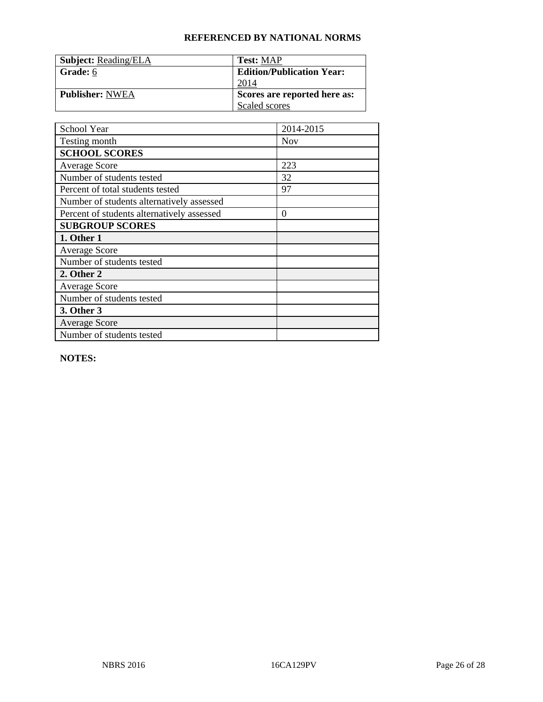| <b>Subject: Reading/ELA</b> | <b>Test: MAP</b>                 |
|-----------------------------|----------------------------------|
| Grade: 6                    | <b>Edition/Publication Year:</b> |
|                             | 2014                             |
| <b>Publisher: NWEA</b>      | Scores are reported here as:     |
|                             | Scaled scores                    |

| School Year                                | 2014-2015  |
|--------------------------------------------|------------|
| Testing month                              | <b>Nov</b> |
| <b>SCHOOL SCORES</b>                       |            |
| <b>Average Score</b>                       | 223        |
| Number of students tested                  | 32         |
| Percent of total students tested           | 97         |
| Number of students alternatively assessed  |            |
| Percent of students alternatively assessed | $\theta$   |
| <b>SUBGROUP SCORES</b>                     |            |
| 1. Other 1                                 |            |
| <b>Average Score</b>                       |            |
| Number of students tested                  |            |
| 2. Other 2                                 |            |
| <b>Average Score</b>                       |            |
| Number of students tested                  |            |
| 3. Other 3                                 |            |
| <b>Average Score</b>                       |            |
| Number of students tested                  |            |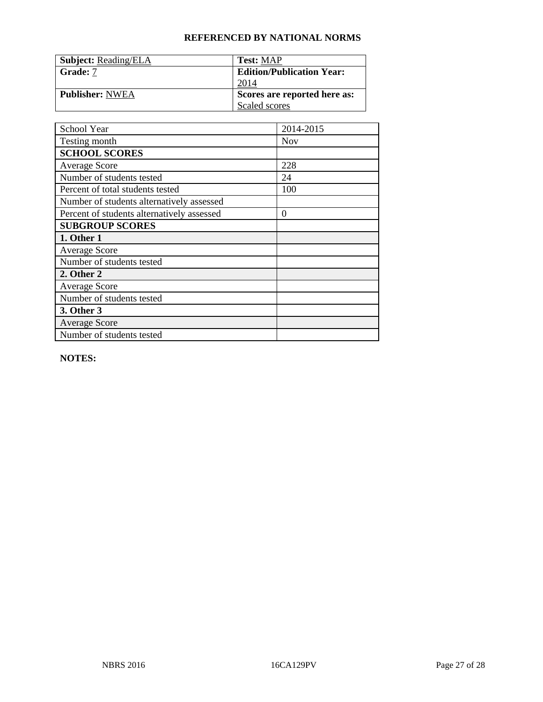| <b>Subject: Reading/ELA</b> | <b>Test: MAP</b>                 |
|-----------------------------|----------------------------------|
| Grade: 7                    | <b>Edition/Publication Year:</b> |
|                             | 2014                             |
| <b>Publisher: NWEA</b>      | Scores are reported here as:     |
|                             | Scaled scores                    |

| School Year                                | 2014-2015  |
|--------------------------------------------|------------|
| Testing month                              | <b>Nov</b> |
| <b>SCHOOL SCORES</b>                       |            |
| <b>Average Score</b>                       | 228        |
| Number of students tested                  | 24         |
| Percent of total students tested           | 100        |
| Number of students alternatively assessed  |            |
| Percent of students alternatively assessed | $\theta$   |
| <b>SUBGROUP SCORES</b>                     |            |
| 1. Other 1                                 |            |
| <b>Average Score</b>                       |            |
| Number of students tested                  |            |
| 2. Other 2                                 |            |
| <b>Average Score</b>                       |            |
| Number of students tested                  |            |
| 3. Other 3                                 |            |
| <b>Average Score</b>                       |            |
| Number of students tested                  |            |